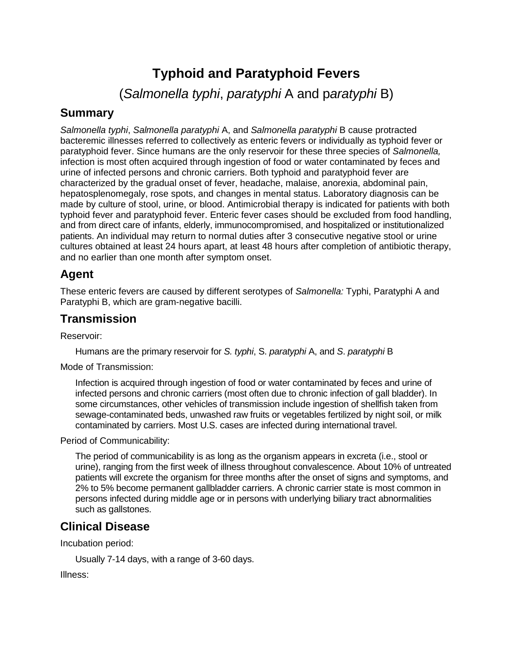# **Typhoid and Paratyphoid Fevers**

(*Salmonella typhi*, *paratyphi* A and p*aratyphi* B)

#### **Summary**

*Salmonella typhi*, *Salmonella paratyphi* A, and *Salmonella paratyphi* B cause protracted bacteremic illnesses referred to collectively as enteric fevers or individually as typhoid fever or paratyphoid fever. Since humans are the only reservoir for these three species of *Salmonella,*  infection is most often acquired through ingestion of food or water contaminated by feces and urine of infected persons and chronic carriers. Both typhoid and paratyphoid fever are characterized by the gradual onset of fever, headache, malaise, anorexia, abdominal pain, hepatosplenomegaly, rose spots, and changes in mental status. Laboratory diagnosis can be made by culture of stool, urine, or blood. Antimicrobial therapy is indicated for patients with both typhoid fever and paratyphoid fever. Enteric fever cases should be excluded from food handling, and from direct care of infants, elderly, immunocompromised, and hospitalized or institutionalized patients. An individual may return to normal duties after 3 consecutive negative stool or urine cultures obtained at least 24 hours apart, at least 48 hours after completion of antibiotic therapy, and no earlier than one month after symptom onset.

#### **Agent**

These enteric fevers are caused by different serotypes of *Salmonella:* Typhi, Paratyphi A and Paratyphi B, which are gram-negative bacilli.

#### **Transmission**

Reservoir:

Humans are the primary reservoir for *S. typhi*, S. *paratyphi* A, and *S*. *paratyphi* B

Mode of Transmission:

Infection is acquired through ingestion of food or water contaminated by feces and urine of infected persons and chronic carriers (most often due to chronic infection of gall bladder). In some circumstances, other vehicles of transmission include ingestion of shellfish taken from sewage-contaminated beds, unwashed raw fruits or vegetables fertilized by night soil, or milk contaminated by carriers. Most U.S. cases are infected during international travel.

Period of Communicability:

The period of communicability is as long as the organism appears in excreta (i.e., stool or urine), ranging from the first week of illness throughout convalescence. About 10% of untreated patients will excrete the organism for three months after the onset of signs and symptoms, and 2% to 5% become permanent gallbladder carriers. A chronic carrier state is most common in persons infected during middle age or in persons with underlying biliary tract abnormalities such as gallstones.

### **Clinical Disease**

Incubation period:

Usually 7-14 days, with a range of 3-60 days.

Illness: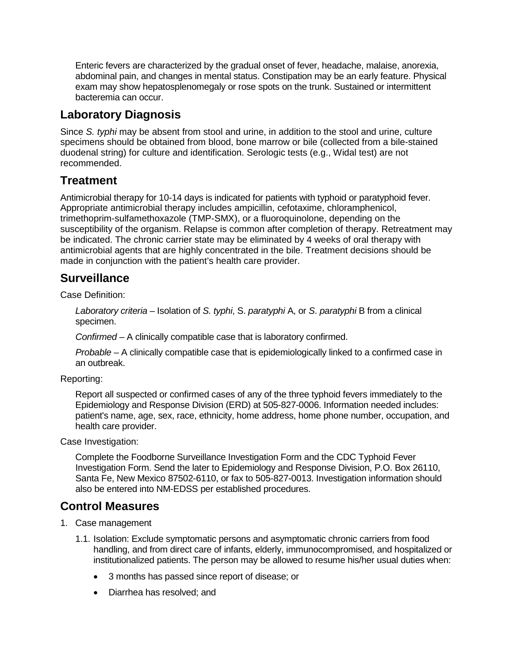Enteric fevers are characterized by the gradual onset of fever, headache, malaise, anorexia, abdominal pain, and changes in mental status. Constipation may be an early feature. Physical exam may show hepatosplenomegaly or rose spots on the trunk. Sustained or intermittent bacteremia can occur.

## **Laboratory Diagnosis**

Since *S. typhi* may be absent from stool and urine, in addition to the stool and urine, culture specimens should be obtained from blood, bone marrow or bile (collected from a bile-stained duodenal string) for culture and identification. Serologic tests (e.g., Widal test) are not recommended.

### **Treatment**

Antimicrobial therapy for 10-14 days is indicated for patients with typhoid or paratyphoid fever. Appropriate antimicrobial therapy includes ampicillin, cefotaxime, chloramphenicol, trimethoprim-sulfamethoxazole (TMP-SMX), or a fluoroquinolone, depending on the susceptibility of the organism. Relapse is common after completion of therapy. Retreatment may be indicated. The chronic carrier state may be eliminated by 4 weeks of oral therapy with antimicrobial agents that are highly concentrated in the bile. Treatment decisions should be made in conjunction with the patient's health care provider.

#### **Surveillance**

Case Definition:

*Laboratory criteria* – Isolation of *S. typhi*, S. *paratyphi* A, or *S*. *paratyphi* B from a clinical specimen.

*Confirmed* – A clinically compatible case that is laboratory confirmed.

*Probable* – A clinically compatible case that is epidemiologically linked to a confirmed case in an outbreak.

Reporting:

Report all suspected or confirmed cases of any of the three typhoid fevers immediately to the Epidemiology and Response Division (ERD) at 505-827-0006. Information needed includes: patient's name, age, sex, race, ethnicity, home address, home phone number, occupation, and health care provider.

Case Investigation:

Complete the Foodborne Surveillance Investigation Form and the CDC Typhoid Fever Investigation Form. Send the later to Epidemiology and Response Division, P.O. Box 26110, Santa Fe, New Mexico 87502-6110, or fax to 505-827-0013. Investigation information should also be entered into NM-EDSS per established procedures.

### **Control Measures**

- 1. Case management
	- 1.1. Isolation: Exclude symptomatic persons and asymptomatic chronic carriers from food handling, and from direct care of infants, elderly, immunocompromised, and hospitalized or institutionalized patients. The person may be allowed to resume his/her usual duties when:
		- 3 months has passed since report of disease; or
		- Diarrhea has resolved; and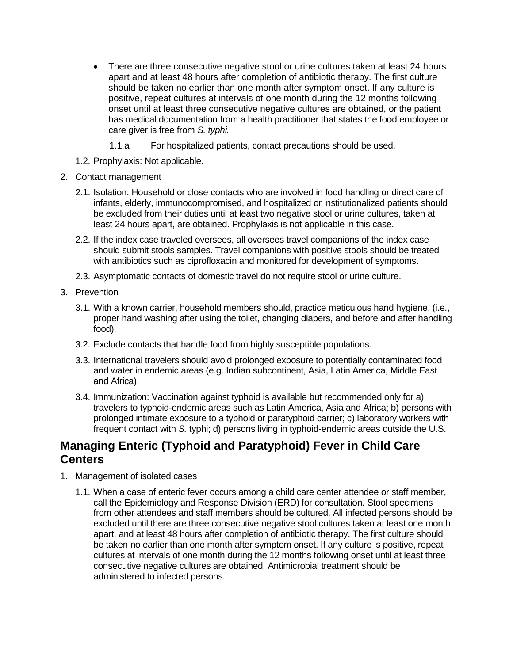- There are three consecutive negative stool or urine cultures taken at least 24 hours apart and at least 48 hours after completion of antibiotic therapy. The first culture should be taken no earlier than one month after symptom onset. If any culture is positive, repeat cultures at intervals of one month during the 12 months following onset until at least three consecutive negative cultures are obtained, or the patient has medical documentation from a health practitioner that states the food employee or care giver is free from *S. typhi.*
	- 1.1.a For hospitalized patients, contact precautions should be used.
- 1.2. Prophylaxis: Not applicable.
- 2. Contact management
	- 2.1. Isolation: Household or close contacts who are involved in food handling or direct care of infants, elderly, immunocompromised, and hospitalized or institutionalized patients should be excluded from their duties until at least two negative stool or urine cultures, taken at least 24 hours apart, are obtained. Prophylaxis is not applicable in this case.
	- 2.2. If the index case traveled oversees, all oversees travel companions of the index case should submit stools samples. Travel companions with positive stools should be treated with antibiotics such as ciprofloxacin and monitored for development of symptoms.
	- 2.3. Asymptomatic contacts of domestic travel do not require stool or urine culture.
- 3. Prevention
	- 3.1. With a known carrier, household members should, practice meticulous hand hygiene. (i.e., proper hand washing after using the toilet, changing diapers, and before and after handling food).
	- 3.2. Exclude contacts that handle food from highly susceptible populations.
	- 3.3. International travelers should avoid prolonged exposure to potentially contaminated food and water in endemic areas (e.g. Indian subcontinent, Asia, Latin America, Middle East and Africa).
	- 3.4. Immunization: Vaccination against typhoid is available but recommended only for a) travelers to typhoid-endemic areas such as Latin America, Asia and Africa; b) persons with prolonged intimate exposure to a typhoid or paratyphoid carrier; c) laboratory workers with frequent contact with *S.* typhi; d) persons living in typhoid-endemic areas outside the U.S.

### **Managing Enteric (Typhoid and Paratyphoid) Fever in Child Care Centers**

- 1. Management of isolated cases
	- 1.1. When a case of enteric fever occurs among a child care center attendee or staff member, call the Epidemiology and Response Division (ERD) for consultation. Stool specimens from other attendees and staff members should be cultured. All infected persons should be excluded until there are three consecutive negative stool cultures taken at least one month apart, and at least 48 hours after completion of antibiotic therapy. The first culture should be taken no earlier than one month after symptom onset. If any culture is positive, repeat cultures at intervals of one month during the 12 months following onset until at least three consecutive negative cultures are obtained. Antimicrobial treatment should be administered to infected persons.